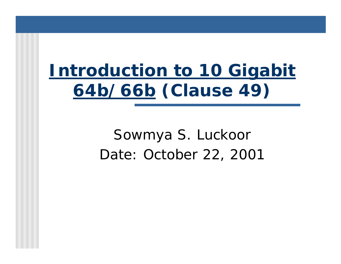# *Introduction to 10 Gigabit 64b/66b* **(Clause 49)**

# Sowmya S. Luckoor Date: October 22, 2001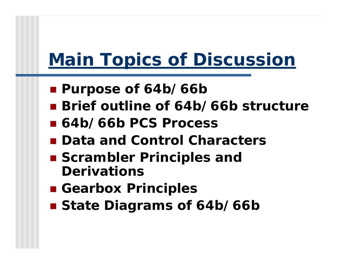# *Main Topics of Discussion*

- **Purpose of 64b/66b**
- **Brief outline of 64b/66b structure**
- ! **64b/66b PCS Process**
- ! **Data and Control Characters**
- ! **Scrambler Principles and Derivations**
- ! **Gearbox Principles**
- $\blacksquare$  **State Diagrams of 64b/66b**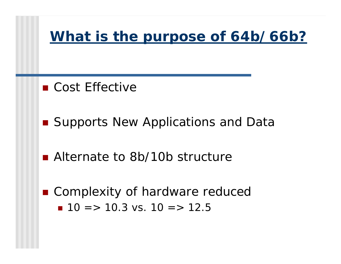### *What is the purpose of 64b/66b?*

- Cost Effective
- Supports New Applications and Data
- Alternate to 8b/10b structure
- Complexity of hardware reduced  $\blacksquare$  10 => 10.3 vs. 10 => 12.5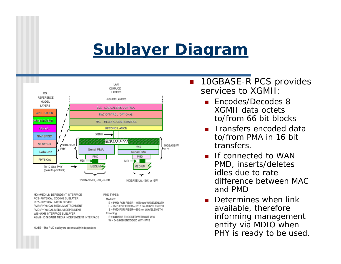# *Sublayer Diagram*



MDI=MEDIUM DEPENDENT INTERFACE PCS=PHYSICAL CODING SUBLAYER PHY=PHYSICAL LAYER DEVICE PMA=PHYSICAL MEDIUM ATTACHMENT PMD=PHYSICAL MEDIUM DEPENDENT WIS=WAN INTERFACE SUBLAYER XGMII=10 GIGABIT MEDIA INDEPENDENT INTERFACE

PMD TYPES:

```
Medium:
E = PMD FOR FIBER-1550 nm WAVELENGTH
L = PMD FOR FIBER-1310 nm WAVELENGTH
S = PMD FOR FIBER-850 nm WAVELENGTH
```
Encoding:

R = 64B/66B ENCODED WITHOUT WIS W = 64B/66B ENCODED WITH WIS

NOTE-The PMD sublayers are mutually independent.

- **.**  10GBASE-R PCS provides services to XGMII:
	- Encodes/Decodes 8 XGMII data octets to/from 66 bit blocks
	- Transfers encoded data to/from PMA in 16 bit transfers.
	- **I** If connected to WAN PMD, inserts/deletes idles due to rate difference between MAC and PMD
	- **.** Determines when link available, therefore informing management entity via MDIO when PHY is ready to be used.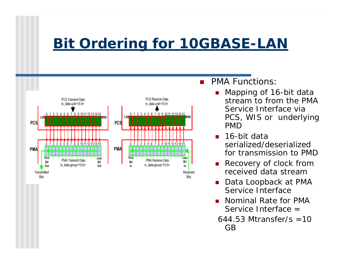## *Bit Ordering for 10GBASE-LAN*



- ! PMA Functions:
	- ! Mapping of 16-bit data stream to from the PMA Service Interface via PCS, WIS or underlying PMD
	- 16-bit data serialized/deserialized for transmission to PMD
	- **Recovery of clock from** received data stream
	- Data Loopback at PMA Service Interface
	- **.** Nominal Rate for PMA Service Interface =
	- $644.53$  Mtransfer/s  $=10$ GB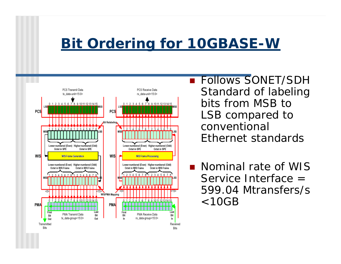### *Bit Ordering for 10GBASE-W*



**E** Follows SONET/SDH Standard of labeling bits from MSB to LSB compared to conventional Ethernet standards

*DESCRIPTION AND PROPERTY ARRANGEMENT*  Nominal rate of WIS Service Interface = 599.04 Mtransfers/s  $<$ 10GB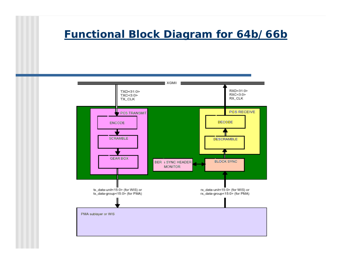#### *Functional Block Diagram for 64b/66b*

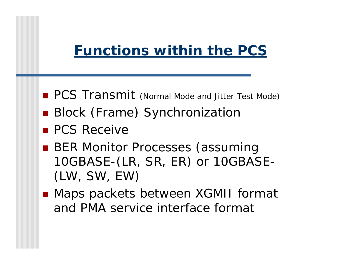### *Functions within the PCS*

- **PCS Transmit** (Normal Mode and Jitter Test Mode)
- **Block (Frame) Synchronization**
- **PCS Receive**
- **BER Monitor Processes (assuming** 10GBASE-(LR, SR, ER) or 10GBASE- (LW, SW, EW)
- Maps packets between XGMII format and PMA service interface format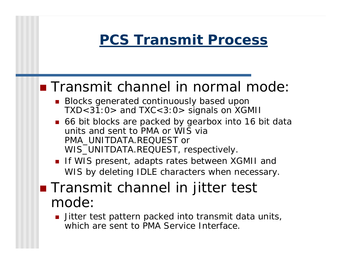## *PCS Transmit Process*

### ■ Transmit channel in normal mode:

- **Blocks generated continuously based upon** TXD<31:0> and TXC<3:0> signals on XGMII
- 66 bit blocks are packed by gearbox into 16 bit data units and sent to PMA or WIS via PMA\_UNITDATA.REQUEST or WIS\_UNITDATA.REQUEST, respectively.
- If WIS present, adapts rates between XGMII and WIS by deleting IDLE characters when necessary.
- **. Transmit channel in jitter test** mode:
	- $\blacksquare$  Jitter test pattern packed into transmit data units, which are sent to PMA Service Interface.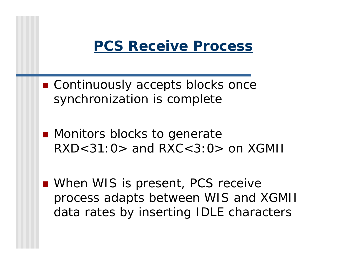

- Continuously accepts blocks once synchronization is complete
- **.** Monitors blocks to generate  $RXD < 31:Q >$  and  $RXC < 3:Q >$  on  $XGMI$
- When WIS is present, PCS receive process adapts between WIS and XGMII data rates by inserting IDLE characters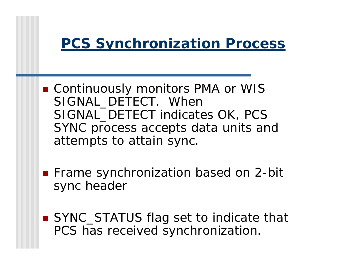### *PCS Synchronization Process*

- Continuously monitors PMA or WIS SIGNAL DETECT. When SIGNAL\_DETECT indicates OK, PCS SYNC process accepts data units and attempts to attain sync.
- Frame synchronization based on 2-bit sync header
- SYNC\_STATUS flag set to indicate that PCS has received synchronization.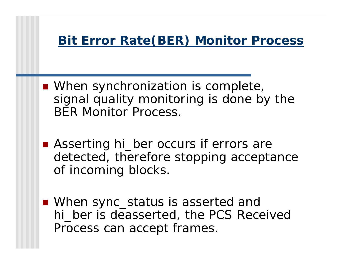### *Bit Error Rate(BER) Monitor Process*

- **. When synchronization is complete,** signal quality monitoring is done by the BER Monitor Process.
- Asserting hi\_ber occurs if errors are detected, therefore stopping acceptance of incoming blocks.
- When sync\_status is asserted and hi ber is deasserted, the PCS Received Process can accept frames.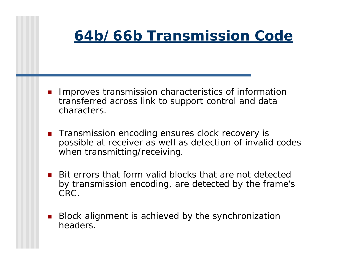### *64b/66b Transmission Code*

- ! Improves transmission characteristics of information transferred across link to support control and data characters.
- ! Transmission encoding ensures clock recovery is possible at receiver as well as detection of invalid codes when transmitting/receiving.
- ! Bit errors that form valid blocks that are not detected by transmission encoding, are detected by the frame's CRC.
- ! Block alignment is achieved by the synchronization headers.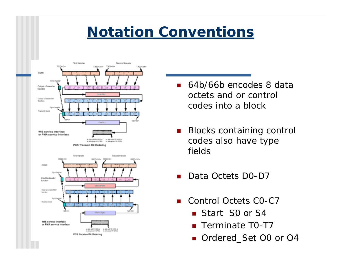### *Notation Conventions*



- 64b/66b encodes 8 data octets and or control codes into a block
- **.**  Blocks containing control codes also have type fields
- !Data Octets D0-D7
- Control Octets CO-C7
	- Start S0 or S4
	- Terminate T0-T7
	- Ordered\_Set O0 or O4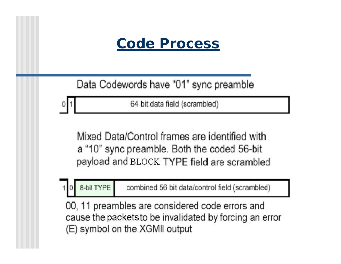*Code Process*

Data Codewords have "01" sync preamble

64 bit data field (scrambled)

Mixed Data/Control frames are identified with a "10" sync preamble. Both the coded 56-bit payload and BLOCK TYPE field are scrambled

8-bit TYPE combined 56 bit data/control field (scrambled)

00, 11 preambles are considered code errors and cause the packets to be invalidated by forcing an error (E) symbol on the XGMII output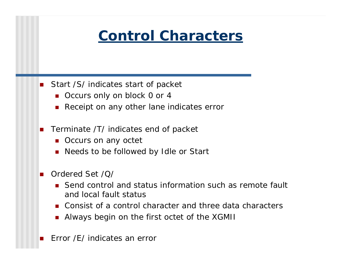

- **.**  Start /S/ indicates start of packet
	- Occurs only on block 0 or 4
	- **1999** Receipt on any other lane indicates error
- **.**  Terminate /T/ indicates end of packet
	- **Occurs on any octet**
	- !Needs to be followed by Idle or Start
- ! Ordered Set /Q/
	- **.** Send control and status information such as remote fault and local fault status
	- Consist of a control character and three data characters
	- !Always begin on the first octet of the XGMII
- !Error /E/ indicates an error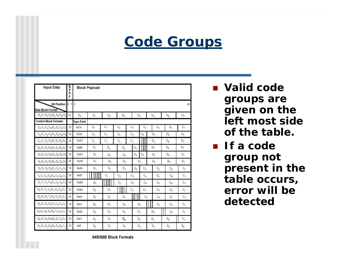### *Code Groups*

| <b>Input Data</b>                                                                                               | S<br>y<br>n |                   | <b>Block Payload</b> |                |                |                |                |                |         |                |                    |                    |                 |
|-----------------------------------------------------------------------------------------------------------------|-------------|-------------------|----------------------|----------------|----------------|----------------|----------------|----------------|---------|----------------|--------------------|--------------------|-----------------|
| Bit Position: 0 1 2                                                                                             | C           |                   |                      |                |                |                |                |                |         |                |                    |                    | 65              |
| Data Block Format:<br>$D_0 D_1 D_2 D_3/D_4 D_5 D_6 D_7$                                                         | 01          | $D_{0}$           | D <sub>1</sub>       | $\mathsf{D}_2$ | $\mathsf{D}_3$ |                | $\mathsf{D}_4$ |                |         | $\mathsf{D}_5$ |                    | $D_{\rm B}$        | D <sub>7</sub>  |
| <b>Control Block Formats:</b>                                                                                   |             | <b>Type Field</b> |                      |                |                |                |                |                |         |                |                    |                    |                 |
| $C_0 C_1 C_2 C_3/C_4 C_5 C_6 C_7$                                                                               | 10          | 0x1e              | $C_0$                | C,             | $C_2$          | $C_3$          | $C_{d}$        |                | $C_{5}$ |                | $C_{\overline{6}}$ |                    | $C_7$           |
| $C_0 C_1 C_2 C_3/O_4 D_5 D_6 D_7$                                                                               | 10          | 0x2d              | $\mathrm{C}_0$       | Ċ,             | C <sub>2</sub> | $C_3$          |                | Ò4             |         | D <sub>s</sub> |                    | $D_R$              | D,              |
| $C_0 C_1 C_2 C_3/S_4 D_5 D_6 D_7$                                                                               | 10          | 0x33              | $C_{D}$              | Ċ,             | $c_{2}$        | $C_3$          |                |                |         | $D_{5}$        |                    | $D_6$              | D <sub>7</sub>  |
| $O_0$ $D_1$ $D_2$ $D_3$ / $S_4$ $D_5$ $D_6$ $D_7$                                                               | 10          | 0x66              | D,                   | $D_2$          | $D_{3}$        |                | Ò0             |                |         | D <sub>s</sub> |                    | $D_{B}$            | D,              |
| $O_0$ D <sub>1</sub> D <sub>2</sub> D <sub>3</sub> /O <sub>4</sub> D <sub>5</sub> D <sub>6</sub> D <sub>7</sub> | 10          | 0x55              | D,                   | $D_2$          | D <sub>3</sub> |                | $O_{\Pi}$      | Ò4             |         | D <sub>s</sub> |                    | $D_6$              | D7              |
| $S_0 D_1 D_2 D_3/D_4 D_5 D_6 D_7$                                                                               | 10          | 0x78              | $D_1$                | D <sub>2</sub> | $D_3$          |                | $D_4$          |                |         | $D_{5}$        |                    | $D_6$              | D <sub>7</sub>  |
| $O_0$ D <sub>1</sub> D <sub>2</sub> D <sub>3</sub> /C <sub>4</sub> C <sub>5</sub> C <sub>6</sub> C <sub>7</sub> | 10          | 0x4b              | D,                   | $D_2$          | $D_3$          |                | Ò <sub>n</sub> | $C_4$          |         | $\mathtt{C}_5$ |                    | $C_{6}$            | $C_7$           |
| $T_0 C_1 C_2 C_3/C_4 C_5 C_6 C_7$                                                                               | 10          | 0x87              |                      | c,             | $C_2$          |                | $\mathtt{C}_3$ | $C_4$          |         | $C_{5}$        |                    | $C_{\overline{n}}$ | $C_{7}$         |
| $D_0$ T <sub>1</sub> C <sub>2</sub> C <sub>3</sub> /C <sub>4</sub> C <sub>5</sub> C <sub>6</sub> C <sub>7</sub> | 10          | 0x99              | $D_0$                |                | $\mathrm{C}_2$ |                | $C_3$          | $C_4$          |         | Ċ5             |                    | $C_{\rm g}$        | Ċ7              |
| $D_0 D_1 T_2 C_3 C_4 C_5 C_6 C_7$                                                                               | 10          | Охаа              | $\mathsf{D}_0$       | D,             |                | $\mathrm{C}_3$ |                | $C_4$          |         | Ċ5             |                    | Сg                 | $C_7$           |
| $D_0 D_1 D_2 T_3/C_4 C_5 C_6 C_7$                                                                               | 10          | 0xb4              | $D_{0}$              | D <sub>1</sub> | $\mathsf{D}_2$ |                |                | $\mathbb{C}_4$ |         | $\mathbb{C}_5$ |                    | $C_{6}$            | $C_7$           |
| $D_0 D_1 D_2 D_3 T_4 C_5 C_6 C_7$                                                                               | 10          | Oxcc              | $D_0$                | D,             | $D_2$          |                | $D_3$          |                |         | $\mathbb{C}_5$ |                    | $C_{\rm g}$        | $C_7$           |
| $D_0 D_1 D_2 D_3/D_4 T_5 C_6 C_7$                                                                               | 10          | 0xd2              | D <sub>0</sub>       | D,             | D <sub>2</sub> |                | $D_3$          |                | $D_4$   |                |                    | $C_{\overline{6}}$ | $C_7$           |
| $D_0 D_1 D_2 D_3/D_4 D_5 T_6 C_7$                                                                               | 10          | 0xe1              | D <sub>n</sub>       | D,             | $D_2$          |                | $D_3$          |                | $D_4$   |                |                    | $D_{\rm g}$        | $C_{7}$         |
| $D_0 D_1 D_2 D_3/D_4 D_5 D_6 T_7$                                                                               | 10          | <b>Oxff</b>       | $\mathsf{D}_0$       | $D_4$          | $D_2$          |                | $\mathsf{D}_3$ |                | $D_4$   |                |                    | $D_5$              | $D_{\tilde{u}}$ |

- ! **Valid code groups are given on the left most side of the table.**
- If a code **group not present in the table occurs, error will be detected**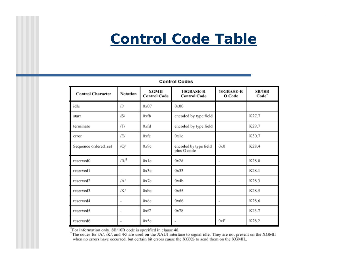

#### **Control Codes**

| <b>Control Character</b> | Notation                 | <b>XGMII</b><br><b>Control Code</b> | 10GBASE-R<br><b>Control Code</b>     | 10GBASE-R<br>O Code | <b>8B/10B</b><br>Code <sup>*</sup> |  |
|--------------------------|--------------------------|-------------------------------------|--------------------------------------|---------------------|------------------------------------|--|
| idle                     | Œ                        | 0x07                                | 0x00                                 |                     |                                    |  |
| start                    | /S/                      | 0xfb                                | encoded by type field                |                     | K27.7                              |  |
| terminate                | ГĽ                       | 0xfd                                | encoded by type field                |                     | K29.7                              |  |
| error                    | Æſ                       | 0xfe                                | 0x1e                                 |                     | K30.7                              |  |
| Sequence ordered_set     | /Q/                      | 0x9c                                | encoded by type field<br>plus O code | 0x0                 | K28.4                              |  |
| reserved0                | $/R/^\dagger$            | 0x1c                                | 0x2d                                 |                     | K28.0                              |  |
| reserved1                | $\overline{\phantom{a}}$ | 0x3c                                | 0x33                                 |                     | K28.1                              |  |
| reserved2                | $\Delta$ /               | 0x7c                                | 0x4b                                 |                     | K28.3                              |  |
| reserved3                | /K/                      | $0$ xbc                             | 0x55                                 | ۰                   | K28.5                              |  |
| reserved4                | $\overline{\phantom{a}}$ | 0xdc                                | 0x66                                 | ۰                   | K28.6                              |  |
| reserved5                | $\qquad \qquad =$        | 0xf7                                | 0x78                                 |                     | K23.7                              |  |
| reserved6                | $\overline{\phantom{a}}$ | 0x5c                                | ۰                                    | 0xF                 | K28.2                              |  |

\*For information only. 8B/10B code is specified in clause 48.

<sup>†</sup>The codes for /A/, /K/, and /R/ are used on the XAUI interface to signal idle. They are not present on the XGMII when no errors have occurred, but certain bit errors cause the XGXS to send them on the XGMII..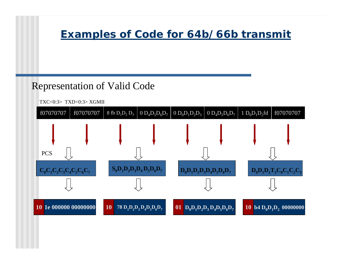### *Examples of Code for 64b/66b transmit*

#### Representation of Valid Code

TXC<0:3> TXD<0:3> XGMII

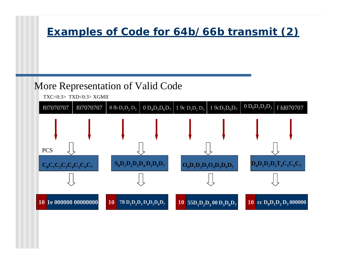#### *Examples of Code for 64b/66b transmit (2)*

### More Representation of Valid Code

TXC<0:3> TXD<0:3> XGMII

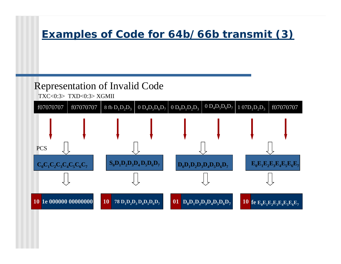### *Examples of Code for 64b/66b transmit (3)*

### Representation of Invalid Code

TXC<0:3> TXD<0:3> XGMII

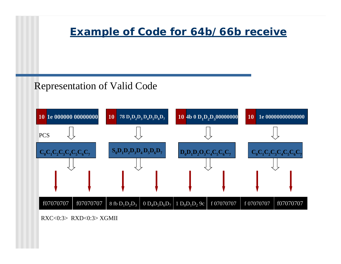#### *Example of Code for 64b/66b receive*

#### Representation of Valid Code



RXC<0:3> RXD<0:3> XGMII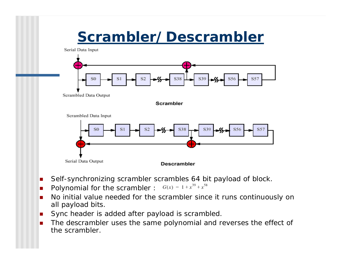### *Scrambler/Descrambler*

Serial Data Input



- **.** Self-synchronizing scrambler scrambles 64 bit payload of block.
- **.** Polynomial for the scrambler :  $G(x) = 1 + x^{39} + x^{58}$
- **.**  No initial value needed for the scrambler since it runs continuously on all payload bits.
- **.** Sync header is added after payload is scrambled.
- ! The descrambler uses the same polynomial and reverses the effect of the scrambler.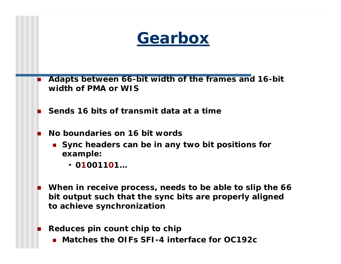

- **. Adapts between 66-bit width of the frames and 16-bit width of PMA or WIS**
- !**Sends 16 bits of transmit data at a time**
- ! **No boundaries on 16 bit words**
	- **E** Sync headers can be in any two bit positions for **example:**
		- **01001101…**
- ! **When in receive process, needs to be able to slip the 66 bit output such that the sync bits are properly aligned to achieve synchronization**
- ! **Reduces pin count chip to chip**
	- ! **Matches the OIFs SFI-4 interface for OC192c**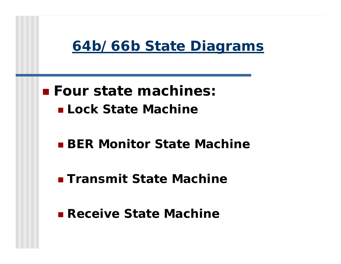

### ! **Four state machines:** ! **Lock State Machine**

### ! **BER Monitor State Machine**

! **Transmit State Machine**

! **Receive State Machine**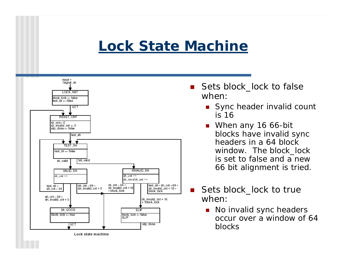## *Lock State Machine*



- **.**  Sets block\_lock to false when:
	- **Sync header invalid count** is 16
	- When any 16 66-bit blocks have invalid sync headers in a 64 block window. The block lock is set to false and a new 66 bit alignment is tried.
- Sets block\_lock to true when:
	- No invalid sync headers occur over a window of 64 blocks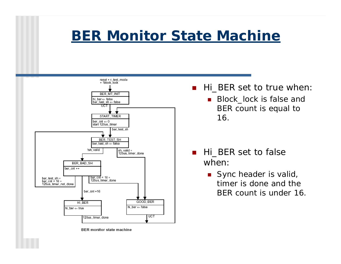### *BER Monitor State Machine*



Hi BER set to true when:

**.**  Block\_lock is false and BER count is equal to 16.

- Hi\_BER set to false when:
	- Sync header is valid, timer is done and the BER count is under 16.

**BER** monitor state machine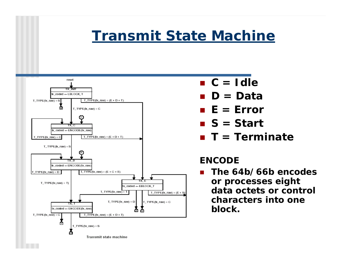### *Transmit State Machine*



- ! **C = Idle**
- ! **D = Data**
- ! **E = Error**
- ! **S = Start**
- ! **T = Terminate**

#### **ENCODE**

 **The 64b/66b encodes or processes eight data octets or control characters into one block.**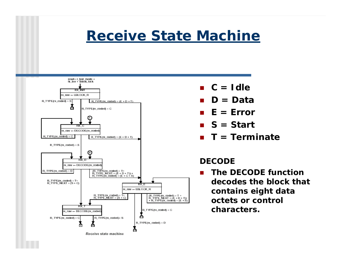### *Receive State Machine*



- ! **C = Idle**
- !**D = Data**
- ! **E = Error**
- ! **S = Start**
- ! **T = Terminate**

#### **DECODE**

! **The DECODE function decodes the block that contains eight data octets or control characters.**